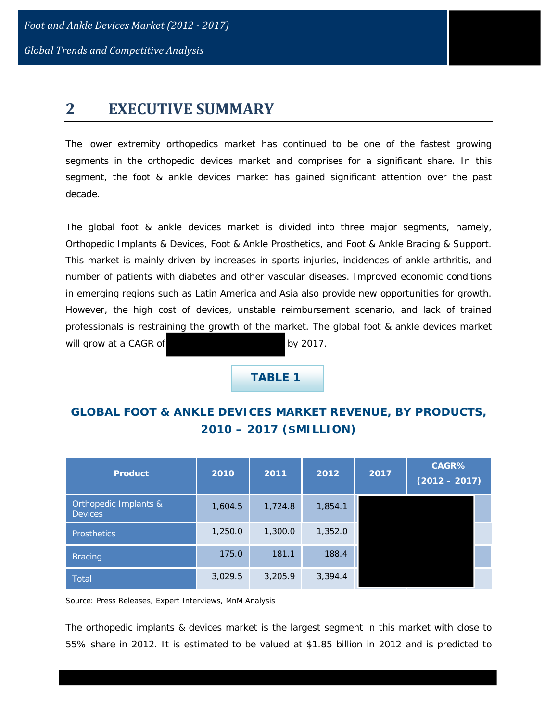*Global Trends and Competitive Analysis*

## **2 EXECUTIVE SUMMARY**

The lower extremity orthopedics market has continued to be one of the fastest growing segments in the orthopedic devices market and comprises for a significant share. In this segment, the foot & ankle devices market has gained significant attention over the past decade.

The global foot & ankle devices market is divided into three major segments, namely, Orthopedic Implants & Devices, Foot & Ankle Prosthetics, and Foot & Ankle Bracing & Support. This market is mainly driven by increases in sports injuries, incidences of ankle arthritis, and number of patients with diabetes and other vascular diseases. Improved economic conditions in emerging regions such as Latin America and Asia also provide new opportunities for growth. However, the high cost of devices, unstable reimbursement scenario, and lack of trained professionals is restraining the growth of the market. The global foot & ankle devices market will grow at a CAGR of by 2017.

 **TABLE 1**

## **GLOBAL FOOT & ANKLE DEVICES MARKET REVENUE, BY PRODUCTS, 2010 – 2017 (\$MILLION)**

| <b>Product</b>                          | 2010    | 2011    | 2012    | 2017 | CAGR%<br>$(2012 - 2017)$ |
|-----------------------------------------|---------|---------|---------|------|--------------------------|
| Orthopedic Implants &<br><b>Devices</b> | 1,604.5 | 1,724.8 | 1,854.1 |      |                          |
| Prosthetics                             | 1,250.0 | 1,300.0 | 1,352.0 |      |                          |
| <b>Bracing</b>                          | 175.0   | 181.1   | 188.4   |      |                          |
| <b>Total</b>                            | 3,029.5 | 3,205.9 | 3,394.4 |      |                          |

Source: Press Releases, Expert Interviews, MnM Analysis

The orthopedic implants & devices market is the largest segment in this market with close to 55% share in 2012. It is estimated to be valued at \$1.85 billion in 2012 and is predicted to